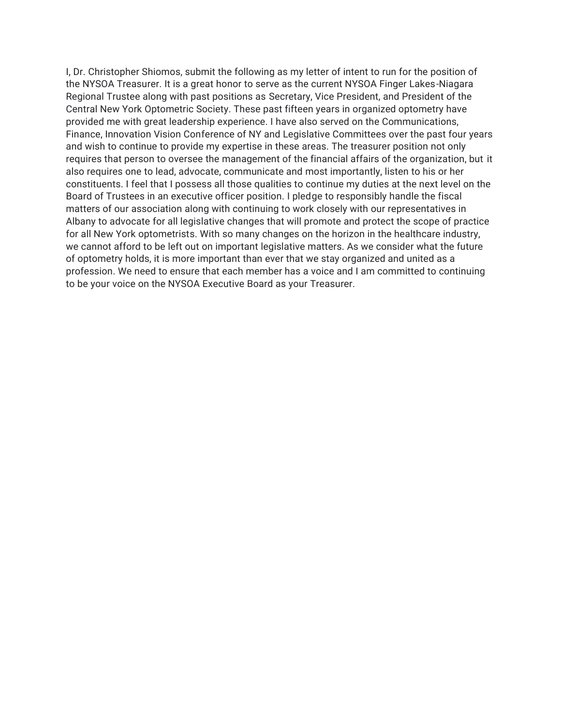I, Dr. Christopher Shiomos, submit the following as my letter of intent to run for the position of the NYSOA Treasurer. It is a great honor to serve as the current NYSOA Finger Lakes-Niagara Regional Trustee along with past positions as Secretary, Vice President, and President of the Central New York Optometric Society. These past fifteen years in organized optometry have provided me with great leadership experience. I have also served on the Communications, Finance, Innovation Vision Conference of NY and Legislative Committees over the past four years and wish to continue to provide my expertise in these areas. The treasurer position not only requires that person to oversee the management of the financial affairs of the organization, but it also requires one to lead, advocate, communicate and most importantly, listen to his or her constituents. I feel that I possess all those qualities to continue my duties at the next level on the Board of Trustees in an executive officer position. I pledge to responsibly handle the fiscal matters of our association along with continuing to work closely with our representatives in Albany to advocate for all legislative changes that will promote and protect the scope of practice for all New York optometrists. With so many changes on the horizon in the healthcare industry, we cannot afford to be left out on important legislative matters. As we consider what the future of optometry holds, it is more important than ever that we stay organized and united as a profession. We need to ensure that each member has a voice and I am committed to continuing to be your voice on the NYSOA Executive Board as your Treasurer.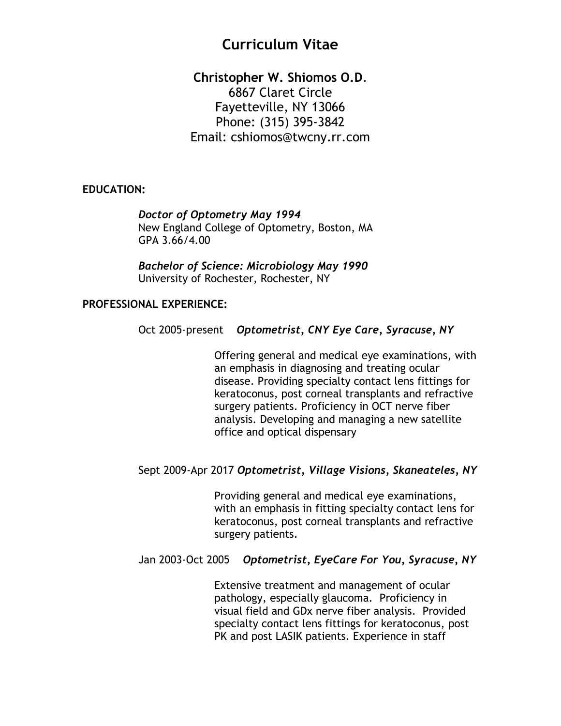# **Curriculum Vitae**

**Christopher W. Shiomos O.D**. 6867 Claret Circle Fayetteville, NY 13066 Phone: (315) 395-3842 Email: cshiomos@twcny.rr.com

#### **EDUCATION:**

 *Doctor of Optometry May 1994* New England College of Optometry, Boston, MA GPA 3.66/4.00

*Bachelor of Science: Microbiology May 1990* University of Rochester, Rochester, NY

#### **PROFESSIONAL EXPERIENCE:**

#### Oct 2005-present *Optometrist, CNY Eye Care, Syracuse, NY*

Offering general and medical eye examinations, with an emphasis in diagnosing and treating ocular disease. Providing specialty contact lens fittings for keratoconus, post corneal transplants and refractive surgery patients. Proficiency in OCT nerve fiber analysis. Developing and managing a new satellite office and optical dispensary

#### Sept 2009-Apr 2017 *Optometrist, Village Visions, Skaneateles, NY*

Providing general and medical eye examinations, with an emphasis in fitting specialty contact lens for keratoconus, post corneal transplants and refractive surgery patients.

#### Jan 2003-Oct 2005 *Optometrist, EyeCare For You, Syracuse, NY*

Extensive treatment and management of ocular pathology, especially glaucoma. Proficiency in visual field and GDx nerve fiber analysis. Provided specialty contact lens fittings for keratoconus, post PK and post LASIK patients. Experience in staff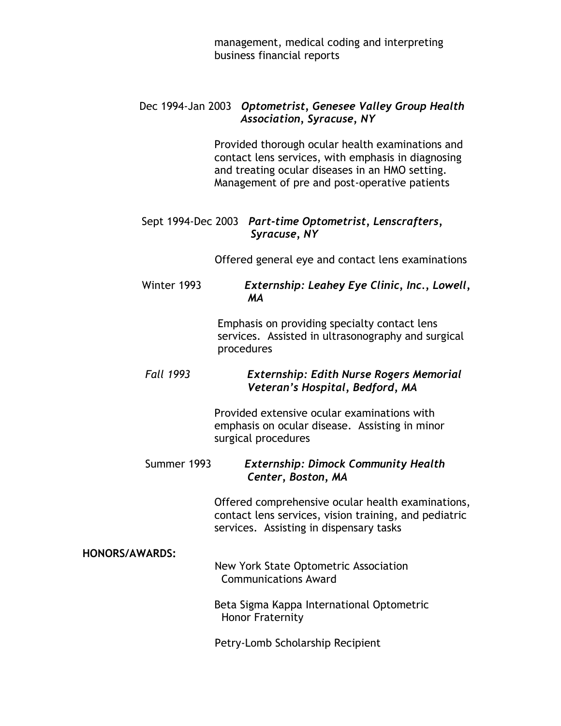management, medical coding and interpreting business financial reports

## Dec 1994-Jan 2003 *Optometrist, Genesee Valley Group Health Association, Syracuse, NY*

Provided thorough ocular health examinations and contact lens services, with emphasis in diagnosing and treating ocular diseases in an HMO setting. Management of pre and post-operative patients

## Sept 1994-Dec 2003 *Part-time Optometrist, Lenscrafters, Syracuse, NY*

Offered general eye and contact lens examinations

## Winter 1993 *Externship: Leahey Eye Clinic, Inc., Lowell, MA*

Emphasis on providing specialty contact lens services. Assisted in ultrasonography and surgical procedures

## *Fall 1993 Externship: Edith Nurse Rogers Memorial Veteran's Hospital, Bedford, MA*

Provided extensive ocular examinations with emphasis on ocular disease. Assisting in minor surgical procedures

## Summer 1993 *Externship: Dimock Community Health Center, Boston, MA*

Offered comprehensive ocular health examinations, contact lens services, vision training, and pediatric services. Assisting in dispensary tasks

**HONORS/AWARDS:**

## New York State Optometric Association Communications Award

Beta Sigma Kappa International Optometric Honor Fraternity

Petry-Lomb Scholarship Recipient